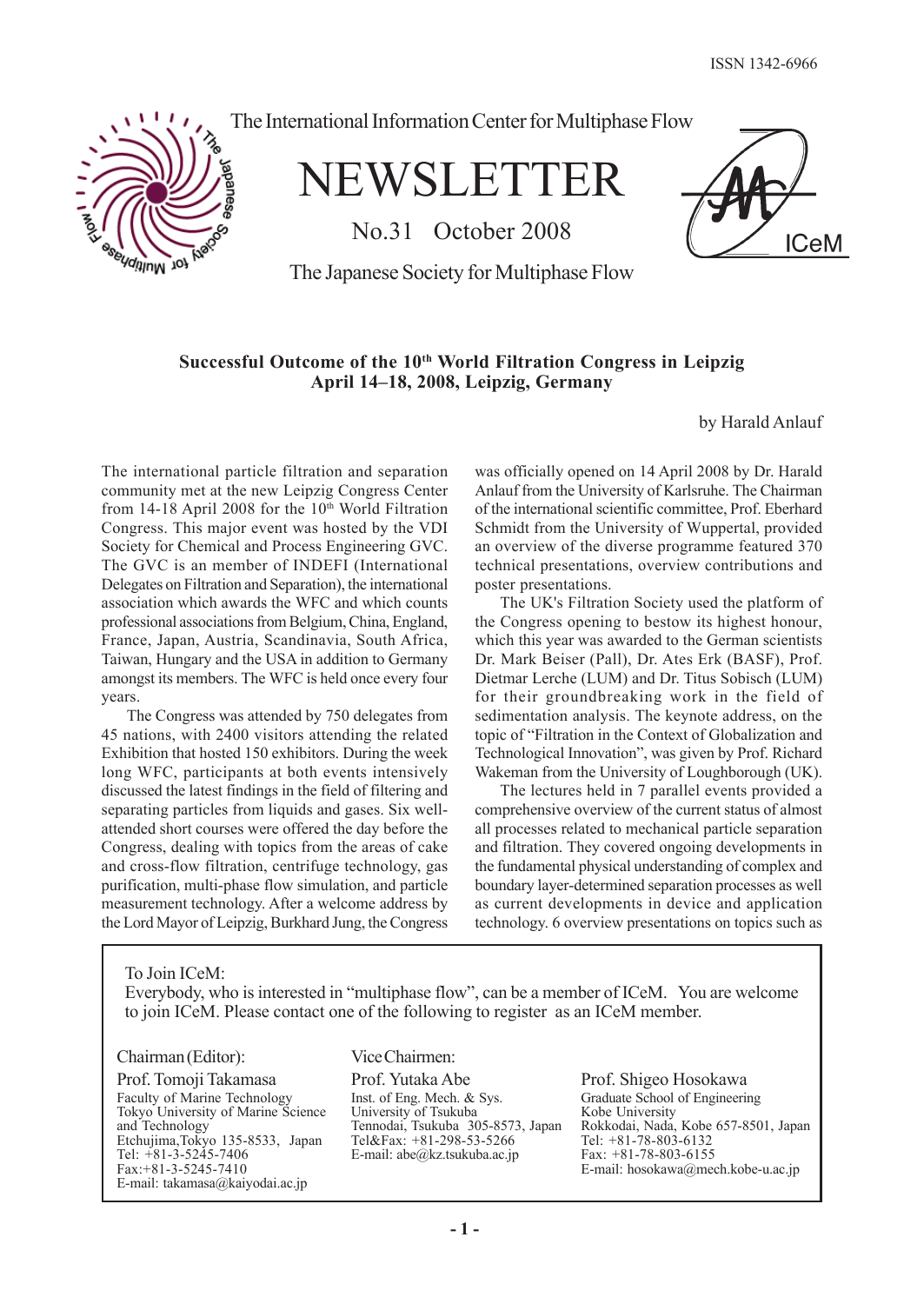**ICeM** 



The International Information Center for Multiphase Flow

NEWSLETTER

No.31 October 2008

The Japanese Society for Multiphase Flow

# **Successful Outcome of the 10th World Filtration Congress in Leipzig April 14–18, 2008, Leipzig, Germany**

by Harald Anlauf

The international particle filtration and separation community met at the new Leipzig Congress Center from  $14-18$  April 2008 for the  $10<sup>th</sup>$  World Filtration Congress. This major event was hosted by the VDI Society for Chemical and Process Engineering GVC. The GVC is an member of INDEFI (International Delegates on Filtration and Separation), the international association which awards the WFC and which counts professional associations from Belgium, China, England, France, Japan, Austria, Scandinavia, South Africa, Taiwan, Hungary and the USA in addition to Germany amongst its members. The WFC is held once every four years.

The Congress was attended by 750 delegates from 45 nations, with 2400 visitors attending the related Exhibition that hosted 150 exhibitors. During the week long WFC, participants at both events intensively discussed the latest findings in the field of filtering and separating particles from liquids and gases. Six wellattended short courses were offered the day before the Congress, dealing with topics from the areas of cake and cross-flow filtration, centrifuge technology, gas purification, multi-phase flow simulation, and particle measurement technology. After a welcome address by the Lord Mayor of Leipzig, Burkhard Jung, the Congress was officially opened on 14 April 2008 by Dr. Harald Anlauf from the University of Karlsruhe. The Chairman of the international scientific committee, Prof. Eberhard Schmidt from the University of Wuppertal, provided an overview of the diverse programme featured 370 technical presentations, overview contributions and poster presentations.

The UK's Filtration Society used the platform of the Congress opening to bestow its highest honour, which this year was awarded to the German scientists Dr. Mark Beiser (Pall), Dr. Ates Erk (BASF), Prof. Dietmar Lerche (LUM) and Dr. Titus Sobisch (LUM) for their groundbreaking work in the field of sedimentation analysis. The keynote address, on the topic of "Filtration in the Context of Globalization and Technological Innovation", was given by Prof. Richard Wakeman from the University of Loughborough (UK).

The lectures held in 7 parallel events provided a comprehensive overview of the current status of almost all processes related to mechanical particle separation and filtration. They covered ongoing developments in the fundamental physical understanding of complex and boundary layer-determined separation processes as well as current developments in device and application technology. 6 overview presentations on topics such as

To Join ICeM:

Everybody, who is interested in "multiphase flow", can be a member of ICeM. You are welcome to join ICeM. Please contact one of the following to register as an ICeM member.

## Chairman (Editor):

Prof. Tomoji Takamasa Faculty of Marine Technology Tokyo University of Marine Science and Technology Etchujima,Tokyo 135-8533, Japan Tel: +81-3-5245-7406 Fax:+81-3-5245-7410 E-mail: takamasa@kaiyodai.ac.jp

Vice Chairmen:

Prof. Yutaka Abe Inst. of Eng. Mech. & Sys. University of Tsukuba Tennodai, Tsukuba 305-8573, Japan Tel&Fax: +81-298-53-5266 E-mail: abe@kz.tsukuba.ac.jp

Prof. Shigeo Hosokawa Graduate School of Engineering Kobe University Rokkodai, Nada, Kobe 657-8501, Japan Tel: +81-78-803-6132 Fax: +81-78-803-6155 E-mail: hosokawa@mech.kobe-u.ac.jp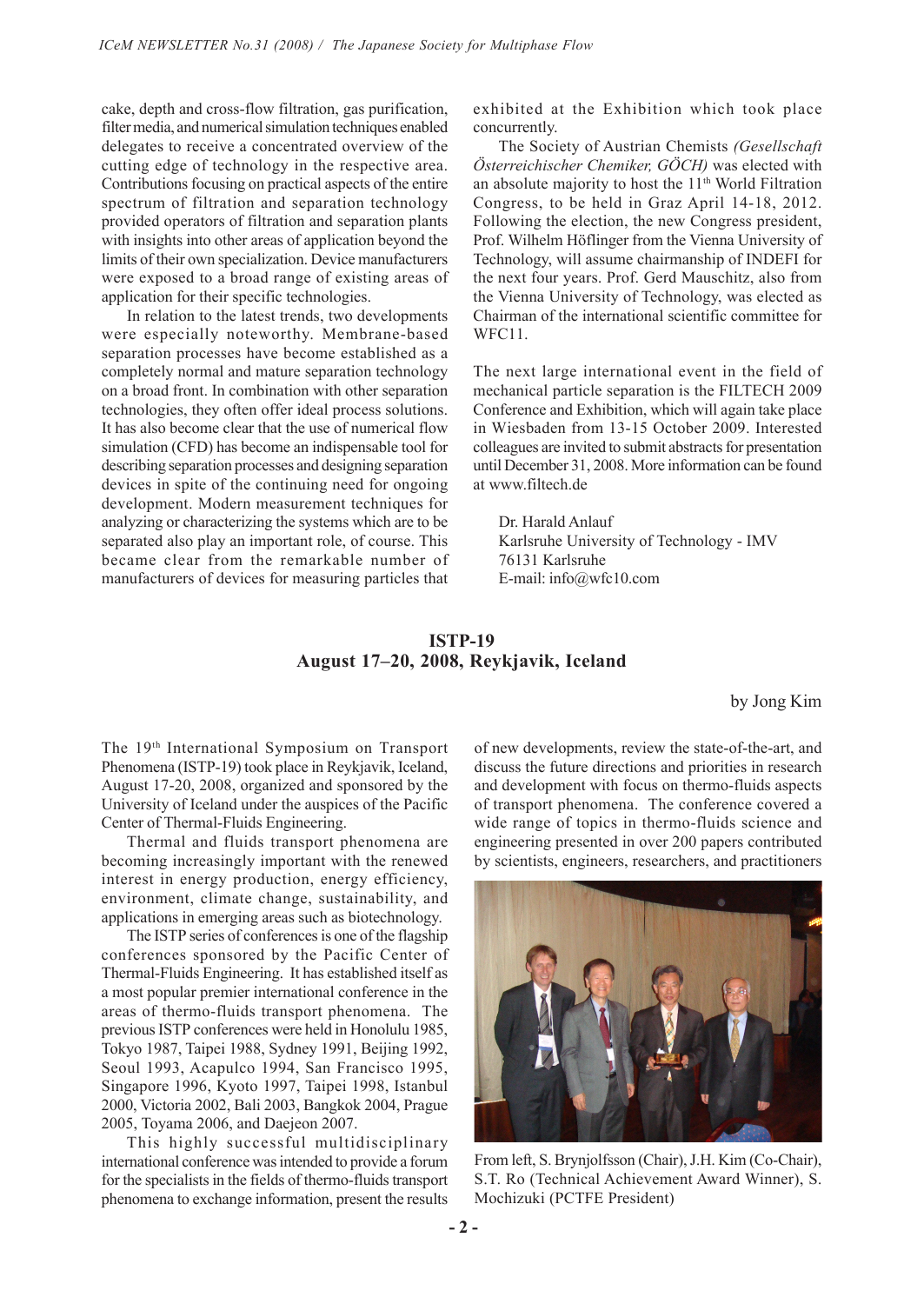cake, depth and cross-flow filtration, gas purification, filter media, and numerical simulation techniques enabled delegates to receive a concentrated overview of the cutting edge of technology in the respective area. Contributions focusing on practical aspects of the entire spectrum of filtration and separation technology provided operators of filtration and separation plants with insights into other areas of application beyond the limits of their own specialization. Device manufacturers were exposed to a broad range of existing areas of application for their specific technologies.

In relation to the latest trends, two developments were especially noteworthy. Membrane-based separation processes have become established as a completely normal and mature separation technology on a broad front. In combination with other separation technologies, they often offer ideal process solutions. It has also become clear that the use of numerical flow simulation (CFD) has become an indispensable tool for describing separation processes and designing separation devices in spite of the continuing need for ongoing development. Modern measurement techniques for analyzing or characterizing the systems which are to be separated also play an important role, of course. This became clear from the remarkable number of manufacturers of devices for measuring particles that

exhibited at the Exhibition which took place concurrently.

The Society of Austrian Chemists *(Gesellschaft Österreichischer Chemiker, GÖCH)* was elected with an absolute majority to host the  $11<sup>th</sup>$  World Filtration Congress, to be held in Graz April 14-18, 2012. Following the election, the new Congress president, Prof. Wilhelm Höflinger from the Vienna University of Technology, will assume chairmanship of INDEFI for the next four years. Prof. Gerd Mauschitz, also from the Vienna University of Technology, was elected as Chairman of the international scientific committee for WFC<sub>11</sub>

The next large international event in the field of mechanical particle separation is the FILTECH 2009 Conference and Exhibition, which will again take place in Wiesbaden from 13-15 October 2009. Interested colleagues are invited to submit abstracts for presentation until December 31, 2008. More information can be found at www.filtech.de

Dr. Harald Anlauf Karlsruhe University of Technology - IMV 76131 Karlsruhe E-mail: info@wfc10.com

# **ISTP-19 August 17–20, 2008, Reykjavik, Iceland**

by Jong Kim

The 19th International Symposium on Transport Phenomena (ISTP-19) took place in Reykjavik, Iceland, August 17-20, 2008, organized and sponsored by the University of Iceland under the auspices of the Pacific Center of Thermal-Fluids Engineering.

Thermal and fluids transport phenomena are becoming increasingly important with the renewed interest in energy production, energy efficiency, environment, climate change, sustainability, and applications in emerging areas such as biotechnology.

The ISTP series of conferences is one of the flagship conferences sponsored by the Pacific Center of Thermal-Fluids Engineering. It has established itself as a most popular premier international conference in the areas of thermo-fluids transport phenomena. The previous ISTP conferences were held in Honolulu 1985, Tokyo 1987, Taipei 1988, Sydney 1991, Beijing 1992, Seoul 1993, Acapulco 1994, San Francisco 1995, Singapore 1996, Kyoto 1997, Taipei 1998, Istanbul 2000, Victoria 2002, Bali 2003, Bangkok 2004, Prague 2005, Toyama 2006, and Daejeon 2007.

This highly successful multidisciplinary international conference was intended to provide a forum for the specialists in the fields of thermo-fluids transport phenomena to exchange information, present the results

of new developments, review the state-of-the-art, and discuss the future directions and priorities in research and development with focus on thermo-fluids aspects of transport phenomena. The conference covered a wide range of topics in thermo-fluids science and engineering presented in over 200 papers contributed by scientists, engineers, researchers, and practitioners



From left, S. Brynjolfsson (Chair), J.H. Kim (Co-Chair), S.T. Ro (Technical Achievement Award Winner), S. Mochizuki (PCTFE President)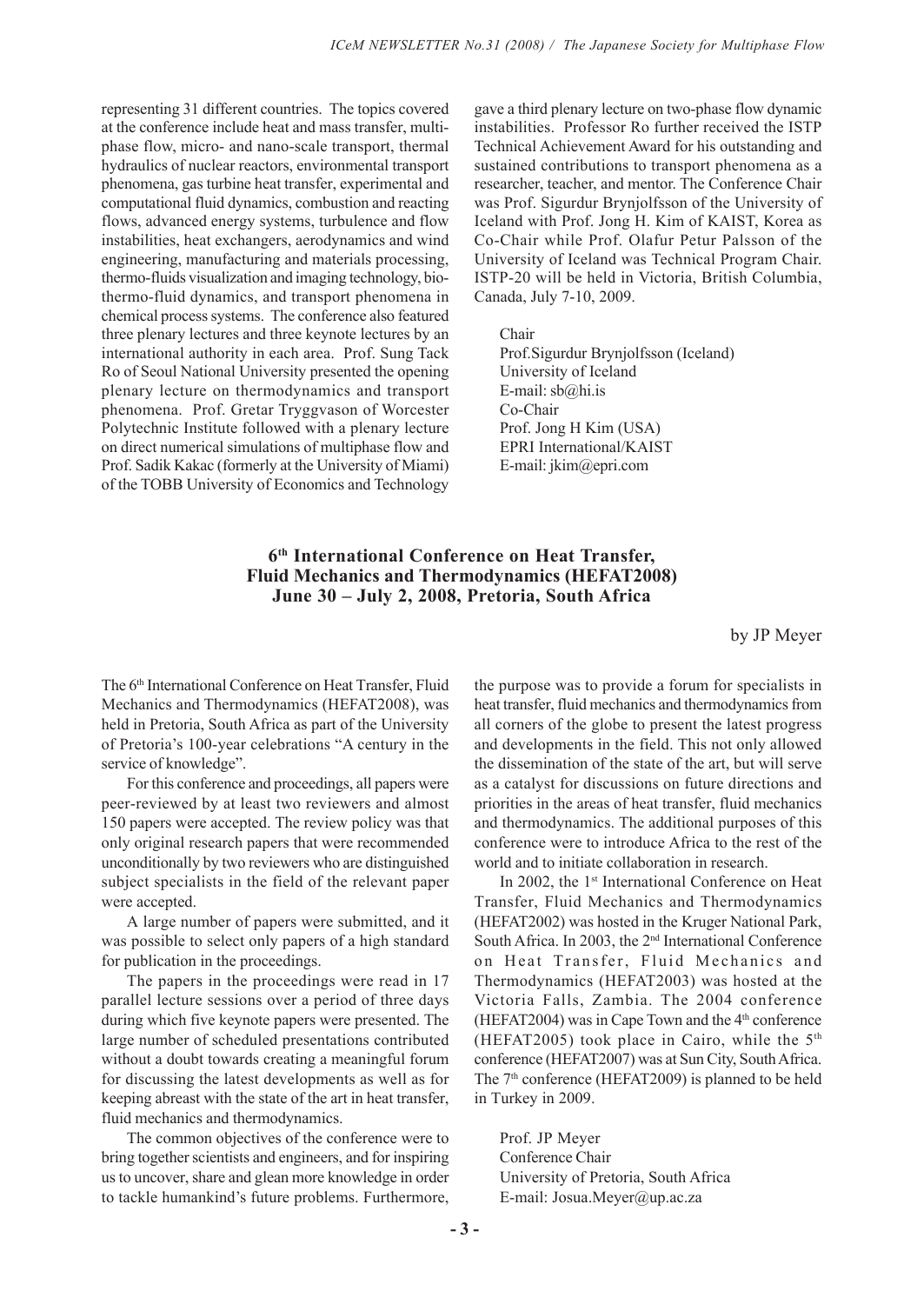representing 31 different countries. The topics covered at the conference include heat and mass transfer, multiphase flow, micro- and nano-scale transport, thermal hydraulics of nuclear reactors, environmental transport phenomena, gas turbine heat transfer, experimental and computational fluid dynamics, combustion and reacting flows, advanced energy systems, turbulence and flow instabilities, heat exchangers, aerodynamics and wind engineering, manufacturing and materials processing, thermo-fluids visualization and imaging technology, biothermo-fluid dynamics, and transport phenomena in chemical process systems. The conference also featured three plenary lectures and three keynote lectures by an international authority in each area. Prof. Sung Tack Ro of Seoul National University presented the opening plenary lecture on thermodynamics and transport phenomena. Prof. Gretar Tryggvason of Worcester Polytechnic Institute followed with a plenary lecture on direct numerical simulations of multiphase flow and Prof. Sadik Kakac (formerly at the University of Miami) of the TOBB University of Economics and Technology gave a third plenary lecture on two-phase flow dynamic instabilities. Professor Ro further received the ISTP Technical Achievement Award for his outstanding and sustained contributions to transport phenomena as a researcher, teacher, and mentor. The Conference Chair was Prof. Sigurdur Brynjolfsson of the University of Iceland with Prof. Jong H. Kim of KAIST, Korea as Co-Chair while Prof. Olafur Petur Palsson of the University of Iceland was Technical Program Chair. ISTP-20 will be held in Victoria, British Columbia, Canada, July 7-10, 2009.

Chair

Prof.Sigurdur Brynjolfsson (Iceland) University of Iceland E-mail: sb@hi.is Co-Chair Prof. Jong H Kim (USA) EPRI International/KAIST E-mail: jkim@epri.com

# **6th International Conference on Heat Transfer, Fluid Mechanics and Thermodynamics (HEFAT2008) June 30 – July 2, 2008, Pretoria, South Africa**

by JP Meyer

The 6<sup>th</sup> International Conference on Heat Transfer, Fluid Mechanics and Thermodynamics (HEFAT2008), was held in Pretoria, South Africa as part of the University of Pretoria's 100-year celebrations "A century in the service of knowledge".

For this conference and proceedings, all papers were peer-reviewed by at least two reviewers and almost 150 papers were accepted. The review policy was that only original research papers that were recommended unconditionally by two reviewers who are distinguished subject specialists in the field of the relevant paper were accepted.

A large number of papers were submitted, and it was possible to select only papers of a high standard for publication in the proceedings.

The papers in the proceedings were read in 17 parallel lecture sessions over a period of three days during which five keynote papers were presented. The large number of scheduled presentations contributed without a doubt towards creating a meaningful forum for discussing the latest developments as well as for keeping abreast with the state of the art in heat transfer, fluid mechanics and thermodynamics.

The common objectives of the conference were to bring together scientists and engineers, and for inspiring us to uncover, share and glean more knowledge in order to tackle humankind's future problems. Furthermore,

the purpose was to provide a forum for specialists in heat transfer, fluid mechanics and thermodynamics from all corners of the globe to present the latest progress and developments in the field. This not only allowed the dissemination of the state of the art, but will serve as a catalyst for discussions on future directions and priorities in the areas of heat transfer, fluid mechanics and thermodynamics. The additional purposes of this conference were to introduce Africa to the rest of the world and to initiate collaboration in research.

In 2002, the 1<sup>st</sup> International Conference on Heat Transfer, Fluid Mechanics and Thermodynamics (HEFAT2002) was hosted in the Kruger National Park, South Africa. In 2003, the 2nd International Conference on Heat Transfer, Fluid Mechanics and Thermodynamics (HEFAT2003) was hosted at the Victoria Falls, Zambia. The 2004 conference (HEFAT2004) was in Cape Town and the  $4<sup>th</sup>$  conference (HEFAT2005) took place in Cairo, while the  $5<sup>th</sup>$ conference (HEFAT2007) was at Sun City, South Africa. The 7<sup>th</sup> conference (HEFAT2009) is planned to be held in Turkey in 2009.

Prof. JP Meyer Conference Chair University of Pretoria, South Africa E-mail: Josua.Meyer@up.ac.za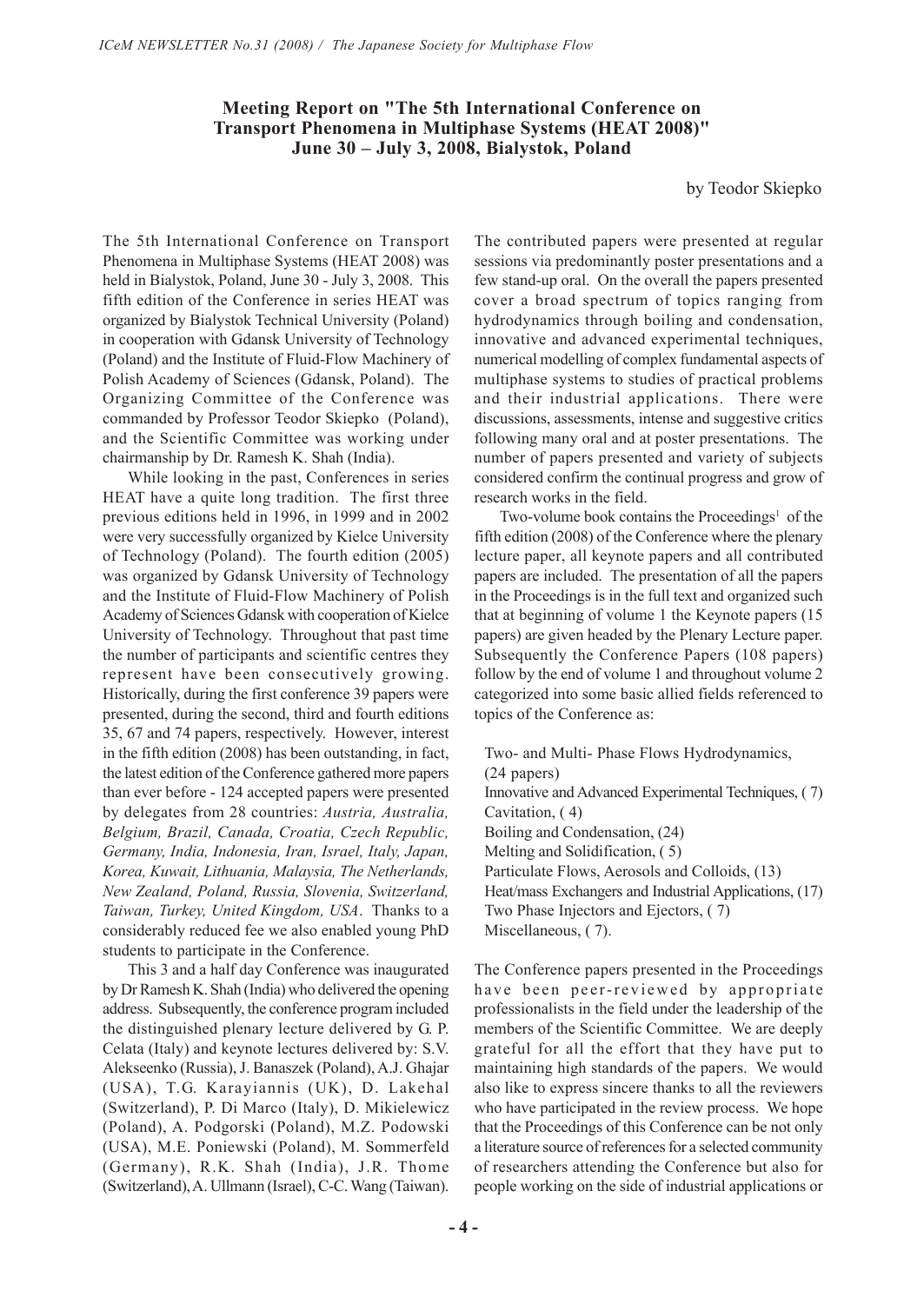## **Meeting Report on "The 5th International Conference on Transport Phenomena in Multiphase Systems (HEAT 2008)" June 30 – July 3, 2008, Bialystok, Poland**

by Teodor Skiepko

The 5th International Conference on Transport Phenomena in Multiphase Systems (HEAT 2008) was held in Bialystok, Poland, June 30 - July 3, 2008. This fifth edition of the Conference in series HEAT was organized by Bialystok Technical University (Poland) in cooperation with Gdansk University of Technology (Poland) and the Institute of Fluid-Flow Machinery of Polish Academy of Sciences (Gdansk, Poland). The Organizing Committee of the Conference was commanded by Professor Teodor Skiepko (Poland), and the Scientific Committee was working under chairmanship by Dr. Ramesh K. Shah (India).

While looking in the past, Conferences in series HEAT have a quite long tradition. The first three previous editions held in 1996, in 1999 and in 2002 were very successfully organized by Kielce University of Technology (Poland). The fourth edition (2005) was organized by Gdansk University of Technology and the Institute of Fluid-Flow Machinery of Polish Academy of Sciences Gdansk with cooperation of Kielce University of Technology. Throughout that past time the number of participants and scientific centres they represent have been consecutively growing. Historically, during the first conference 39 papers were presented, during the second, third and fourth editions 35, 67 and 74 papers, respectively. However, interest in the fifth edition (2008) has been outstanding, in fact, the latest edition of the Conference gathered more papers than ever before - 124 accepted papers were presented by delegates from 28 countries: *Austria, Australia, Belgium, Brazil, Canada, Croatia, Czech Republic, Germany, India, Indonesia, Iran, Israel, Italy, Japan, Korea, Kuwait, Lithuania, Malaysia, The Netherlands, New Zealand, Poland, Russia, Slovenia, Switzerland, Taiwan, Turkey, United Kingdom, USA*. Thanks to a considerably reduced fee we also enabled young PhD students to participate in the Conference.

This 3 and a half day Conference was inaugurated by Dr Ramesh K. Shah (India) who delivered the opening address. Subsequently, the conference program included the distinguished plenary lecture delivered by G. P. Celata (Italy) and keynote lectures delivered by: S.V. Alekseenko (Russia), J. Banaszek (Poland), A.J. Ghajar (USA), T.G. Karayiannis (UK), D. Lakehal (Switzerland), P. Di Marco (Italy), D. Mikielewicz (Poland), A. Podgorski (Poland), M.Z. Podowski (USA), M.E. Poniewski (Poland), M. Sommerfeld (Germany), R.K. Shah (India), J.R. Thome (Switzerland), A. Ullmann (Israel), C-C. Wang (Taiwan). The contributed papers were presented at regular sessions via predominantly poster presentations and a few stand-up oral. On the overall the papers presented cover a broad spectrum of topics ranging from hydrodynamics through boiling and condensation, innovative and advanced experimental techniques, numerical modelling of complex fundamental aspects of multiphase systems to studies of practical problems and their industrial applications. There were discussions, assessments, intense and suggestive critics following many oral and at poster presentations. The number of papers presented and variety of subjects considered confirm the continual progress and grow of research works in the field.

Two-volume book contains the Proceedings<sup>1</sup> of the fifth edition (2008) of the Conference where the plenary lecture paper, all keynote papers and all contributed papers are included. The presentation of all the papers in the Proceedings is in the full text and organized such that at beginning of volume 1 the Keynote papers (15 papers) are given headed by the Plenary Lecture paper. Subsequently the Conference Papers (108 papers) follow by the end of volume 1 and throughout volume 2 categorized into some basic allied fields referenced to topics of the Conference as:

Two- and Multi- Phase Flows Hydrodynamics, (24 papers) Innovative and Advanced Experimental Techniques, ( 7) Cavitation, ( 4) Boiling and Condensation, (24) Melting and Solidification, ( 5) Particulate Flows, Aerosols and Colloids, (13) Heat/mass Exchangers and Industrial Applications, (17) Two Phase Injectors and Ejectors, ( 7) Miscellaneous, ( 7).

The Conference papers presented in the Proceedings have been peer-reviewed by appropriate professionalists in the field under the leadership of the members of the Scientific Committee. We are deeply grateful for all the effort that they have put to maintaining high standards of the papers. We would also like to express sincere thanks to all the reviewers who have participated in the review process. We hope that the Proceedings of this Conference can be not only a literature source of references for a selected community of researchers attending the Conference but also for people working on the side of industrial applications or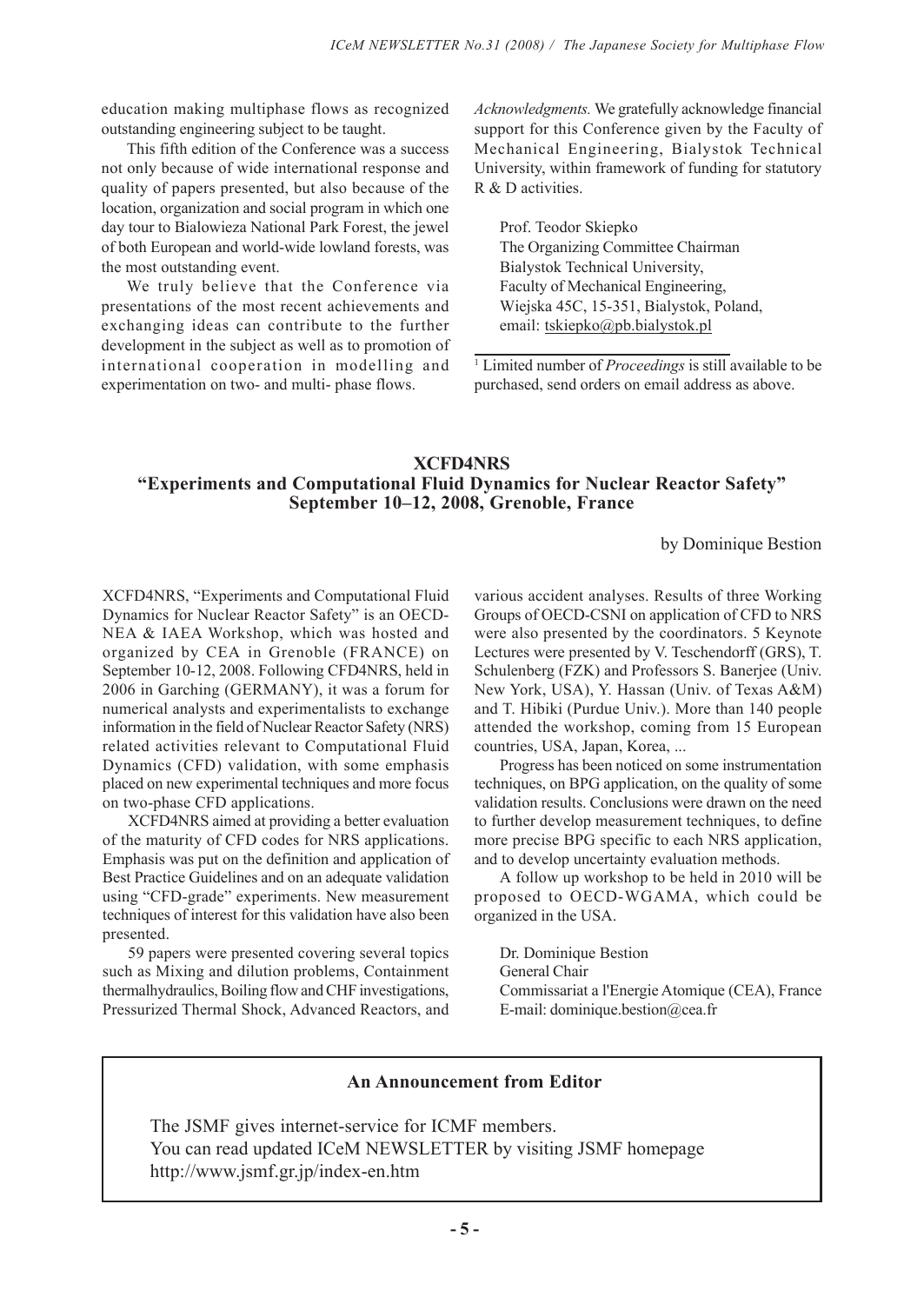education making multiphase flows as recognized outstanding engineering subject to be taught.

This fifth edition of the Conference was a success not only because of wide international response and quality of papers presented, but also because of the location, organization and social program in which one day tour to Bialowieza National Park Forest, the jewel of both European and world-wide lowland forests, was the most outstanding event.

We truly believe that the Conference via presentations of the most recent achievements and exchanging ideas can contribute to the further development in the subject as well as to promotion of international cooperation in modelling and experimentation on two- and multi- phase flows.

*Acknowledgments.* We gratefully acknowledge financial support for this Conference given by the Faculty of Mechanical Engineering, Bialystok Technical University, within framework of funding for statutory R & D activities.

Prof. Teodor Skiepko The Organizing Committee Chairman Bialystok Technical University, Faculty of Mechanical Engineering, Wiejska 45C, 15-351, Bialystok, Poland, email: tskiepko@pb.bialystok.pl

1 Limited number of *Proceedings* is still available to be purchased, send orders on email address as above.

# **XCFD4NRS "Experiments and Computational Fluid Dynamics for Nuclear Reactor Safety" September 10–12, 2008, Grenoble, France**

by Dominique Bestion

XCFD4NRS, "Experiments and Computational Fluid Dynamics for Nuclear Reactor Safety" is an OECD-NEA & IAEA Workshop, which was hosted and organized by CEA in Grenoble (FRANCE) on September 10-12, 2008. Following CFD4NRS, held in 2006 in Garching (GERMANY), it was a forum for numerical analysts and experimentalists to exchange information in the field of Nuclear Reactor Safety (NRS) related activities relevant to Computational Fluid Dynamics (CFD) validation, with some emphasis placed on new experimental techniques and more focus on two-phase CFD applications.

XCFD4NRS aimed at providing a better evaluation of the maturity of CFD codes for NRS applications. Emphasis was put on the definition and application of Best Practice Guidelines and on an adequate validation using "CFD-grade" experiments. New measurement techniques of interest for this validation have also been presented.

59 papers were presented covering several topics such as Mixing and dilution problems, Containment thermalhydraulics, Boiling flow and CHF investigations, Pressurized Thermal Shock, Advanced Reactors, and

various accident analyses. Results of three Working Groups of OECD-CSNI on application of CFD to NRS were also presented by the coordinators. 5 Keynote Lectures were presented by V. Teschendorff (GRS), T. Schulenberg (FZK) and Professors S. Banerjee (Univ. New York, USA), Y. Hassan (Univ. of Texas A&M) and T. Hibiki (Purdue Univ.). More than 140 people attended the workshop, coming from 15 European countries, USA, Japan, Korea, ...

Progress has been noticed on some instrumentation techniques, on BPG application, on the quality of some validation results. Conclusions were drawn on the need to further develop measurement techniques, to define more precise BPG specific to each NRS application, and to develop uncertainty evaluation methods.

A follow up workshop to be held in 2010 will be proposed to OECD-WGAMA, which could be organized in the USA.

Dr. Dominique Bestion General Chair Commissariat a l'Energie Atomique (CEA), France E-mail: dominique.bestion@cea.fr

# **An Announcement from Editor**

The JSMF gives internet-service for ICMF members. You can read updated ICeM NEWSLETTER by visiting JSMF homepage http://www.jsmf.gr.jp/index-en.htm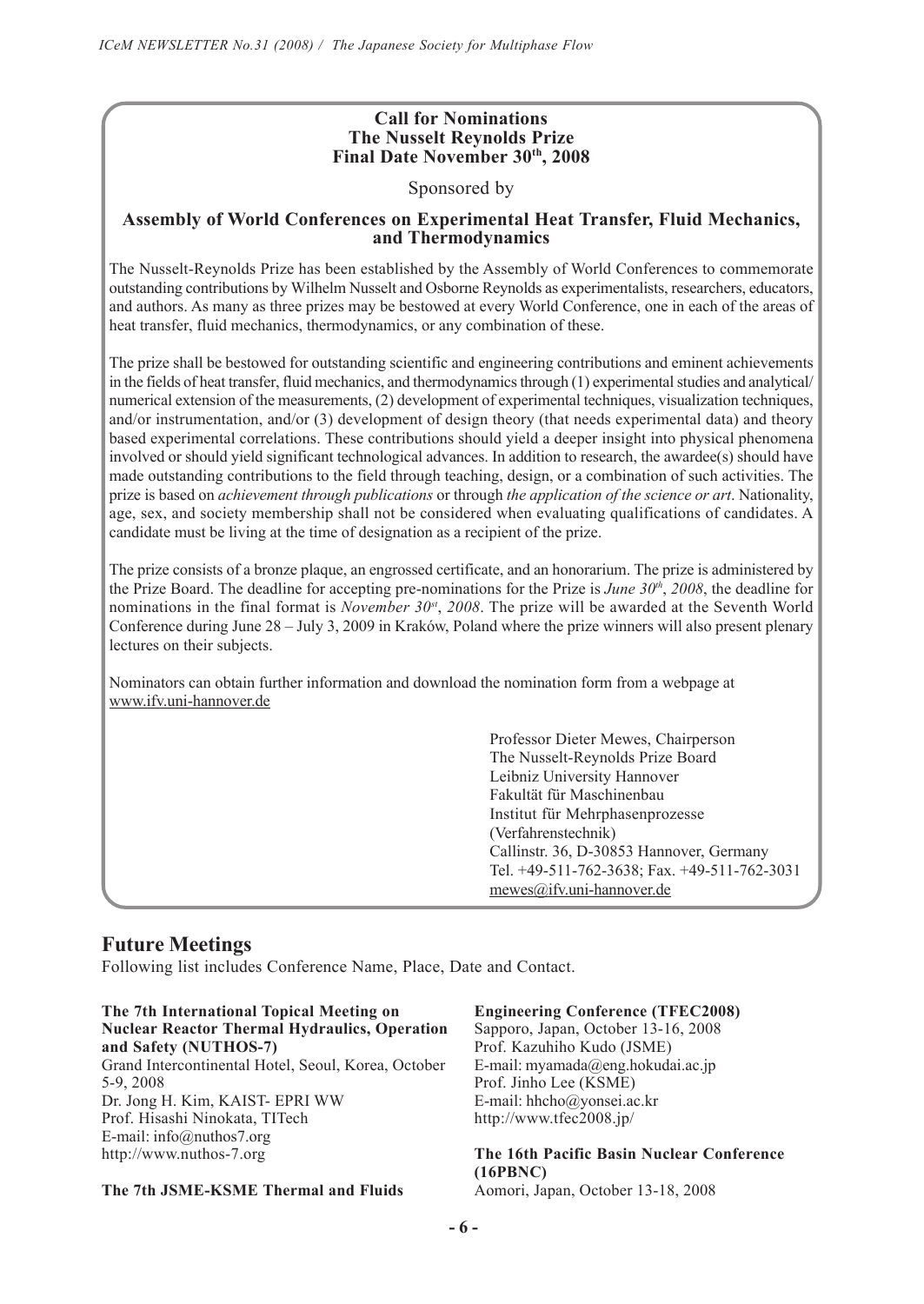# **Call for Nominations The Nusselt Reynolds Prize Final Date November 30th, 2008**

Sponsored by

# **Assembly of World Conferences on Experimental Heat Transfer, Fluid Mechanics, and Thermodynamics**

The Nusselt-Reynolds Prize has been established by the Assembly of World Conferences to commemorate outstanding contributions by Wilhelm Nusselt and Osborne Reynolds as experimentalists, researchers, educators, and authors. As many as three prizes may be bestowed at every World Conference, one in each of the areas of heat transfer, fluid mechanics, thermodynamics, or any combination of these.

The prize shall be bestowed for outstanding scientific and engineering contributions and eminent achievements in the fields of heat transfer, fluid mechanics, and thermodynamics through (1) experimental studies and analytical/ numerical extension of the measurements, (2) development of experimental techniques, visualization techniques, and/or instrumentation, and/or (3) development of design theory (that needs experimental data) and theory based experimental correlations. These contributions should yield a deeper insight into physical phenomena involved or should yield significant technological advances. In addition to research, the awardee(s) should have made outstanding contributions to the field through teaching, design, or a combination of such activities. The prize is based on *achievement through publications* or through *the application of the science or art*. Nationality, age, sex, and society membership shall not be considered when evaluating qualifications of candidates. A candidate must be living at the time of designation as a recipient of the prize.

The prize consists of a bronze plaque, an engrossed certificate, and an honorarium. The prize is administered by the Prize Board. The deadline for accepting pre-nominations for the Prize is *June 30th*, *2008*, the deadline for nominations in the final format is *November 30<sup>st</sup>*, 2008. The prize will be awarded at the Seventh World Conference during June 28 – July 3, 2009 in Kraków, Poland where the prize winners will also present plenary lectures on their subjects.

Nominators can obtain further information and download the nomination form from a webpage at www.ifv.uni-hannover.de

> Professor Dieter Mewes, Chairperson The Nusselt-Reynolds Prize Board Leibniz University Hannover Fakultät für Maschinenbau Institut für Mehrphasenprozesse (Verfahrenstechnik) Callinstr. 36, D-30853 Hannover, Germany Tel. +49-511-762-3638; Fax. +49-511-762-3031 mewes@ifv.uni-hannover.de

# **Future Meetings**

Following list includes Conference Name, Place, Date and Contact.

#### **The 7th International Topical Meeting on Nuclear Reactor Thermal Hydraulics, Operation and Safety (NUTHOS-7)**

Grand Intercontinental Hotel, Seoul, Korea, October 5-9, 2008 Dr. Jong H. Kim, KAIST- EPRI WW Prof. Hisashi Ninokata, TITech E-mail: info@nuthos7.org http://www.nuthos-7.org

## **The 7th JSME-KSME Thermal and Fluids**

#### **Engineering Conference (TFEC2008)**

Sapporo, Japan, October 13-16, 2008 Prof. Kazuhiho Kudo (JSME) E-mail: myamada@eng.hokudai.ac.jp Prof. Jinho Lee (KSME) E-mail: hhcho@yonsei.ac.kr http://www.tfec2008.jp/

**The 16th Pacific Basin Nuclear Conference (16PBNC)** Aomori, Japan, October 13-18, 2008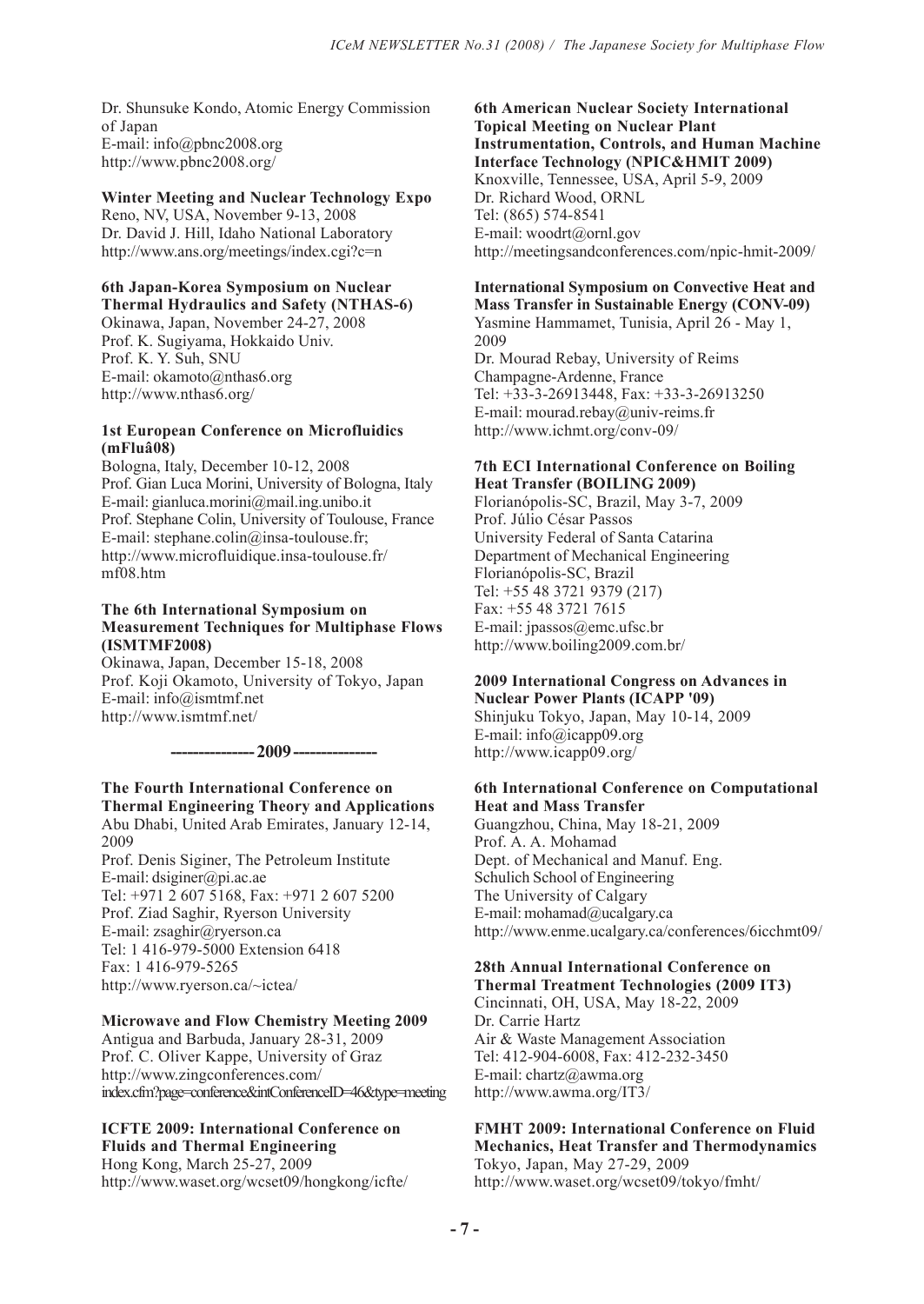Dr. Shunsuke Kondo, Atomic Energy Commission of Japan E-mail: info@pbnc2008.org http://www.pbnc2008.org/

## **Winter Meeting and Nuclear Technology Expo**

Reno, NV, USA, November 9-13, 2008 Dr. David J. Hill, Idaho National Laboratory http://www.ans.org/meetings/index.cgi?c=n

#### **6th Japan-Korea Symposium on Nuclear Thermal Hydraulics and Safety (NTHAS-6)**

Okinawa, Japan, November 24-27, 2008 Prof. K. Sugiyama, Hokkaido Univ. Prof. K. Y. Suh, SNU E-mail: okamoto@nthas6.org http://www.nthas6.org/

## **1st European Conference on Microfluidics (mFluâ08)**

Bologna, Italy, December 10-12, 2008 Prof. Gian Luca Morini, University of Bologna, Italy E-mail: gianluca.morini@mail.ing.unibo.it Prof. Stephane Colin, University of Toulouse, France E-mail: stephane.colin@insa-toulouse.fr; http://www.microfluidique.insa-toulouse.fr/ mf08.htm

#### **The 6th International Symposium on Measurement Techniques for Multiphase Flows (ISMTMF2008)**

Okinawa, Japan, December 15-18, 2008 Prof. Koji Okamoto, University of Tokyo, Japan E-mail: info@ismtmf.net http://www.ismtmf.net/

**--------------- 2009 ---------------**

# **The Fourth International Conference on Thermal Engineering Theory and Applications**

Abu Dhabi, United Arab Emirates, January 12-14, 2009

Prof. Denis Siginer, The Petroleum Institute E-mail: dsiginer@pi.ac.ae Tel: +971 2 607 5168, Fax: +971 2 607 5200 Prof. Ziad Saghir, Ryerson University E-mail: zsaghir@ryerson.ca Tel: 1 416-979-5000 Extension 6418 Fax: 1 416-979-5265 http://www.ryerson.ca/~ictea/

## **Microwave and Flow Chemistry Meeting 2009**

Antigua and Barbuda, January 28-31, 2009 Prof. C. Oliver Kappe, University of Graz http://www.zingconferences.com/ index.cfm?page=conference&intConferenceID=46&type=meeting

### **ICFTE 2009: International Conference on Fluids and Thermal Engineering**

Hong Kong, March 25-27, 2009 http://www.waset.org/wcset09/hongkong/icfte/

#### **6th American Nuclear Society International Topical Meeting on Nuclear Plant Instrumentation, Controls, and Human Machine Interface Technology (NPIC&HMIT 2009)** Knoxville, Tennessee, USA, April 5-9, 2009

Dr. Richard Wood, ORNL Tel: (865) 574-8541 E-mail: woodrt@ornl.gov http://meetingsandconferences.com/npic-hmit-2009/

#### **International Symposium on Convective Heat and Mass Transfer in Sustainable Energy (CONV-09)**

Yasmine Hammamet, Tunisia, April 26 - May 1, 2009 Dr. Mourad Rebay, University of Reims Champagne-Ardenne, France Tel: +33-3-26913448, Fax: +33-3-26913250 E-mail: mourad.rebay@univ-reims.fr http://www.ichmt.org/conv-09/

## **7th ECI International Conference on Boiling Heat Transfer (BOILING 2009)**

Florianópolis-SC, Brazil, May 3-7, 2009 Prof. Júlio César Passos University Federal of Santa Catarina Department of Mechanical Engineering Florianópolis-SC, Brazil Tel: +55 48 3721 9379 (217) Fax: +55 48 3721 7615 E-mail: jpassos@emc.ufsc.br http://www.boiling2009.com.br/

# **2009 International Congress on Advances in**

**Nuclear Power Plants (ICAPP '09)** Shinjuku Tokyo, Japan, May 10-14, 2009 E-mail: info@icapp09.org http://www.icapp09.org/

#### **6th International Conference on Computational Heat and Mass Transfer**

Guangzhou, China, May 18-21, 2009 Prof. A. A. Mohamad Dept. of Mechanical and Manuf. Eng. Schulich School of Engineering The University of Calgary E-mail: mohamad@ucalgary.ca http://www.enme.ucalgary.ca/conferences/6icchmt09/

#### **28th Annual International Conference on Thermal Treatment Technologies (2009 IT3)**

Cincinnati, OH, USA, May 18-22, 2009 Dr. Carrie Hartz Air & Waste Management Association Tel: 412-904-6008, Fax: 412-232-3450 E-mail: chartz@awma.org http://www.awma.org/IT3/

# **FMHT 2009: International Conference on Fluid Mechanics, Heat Transfer and Thermodynamics**

Tokyo, Japan, May 27-29, 2009 http://www.waset.org/wcset09/tokyo/fmht/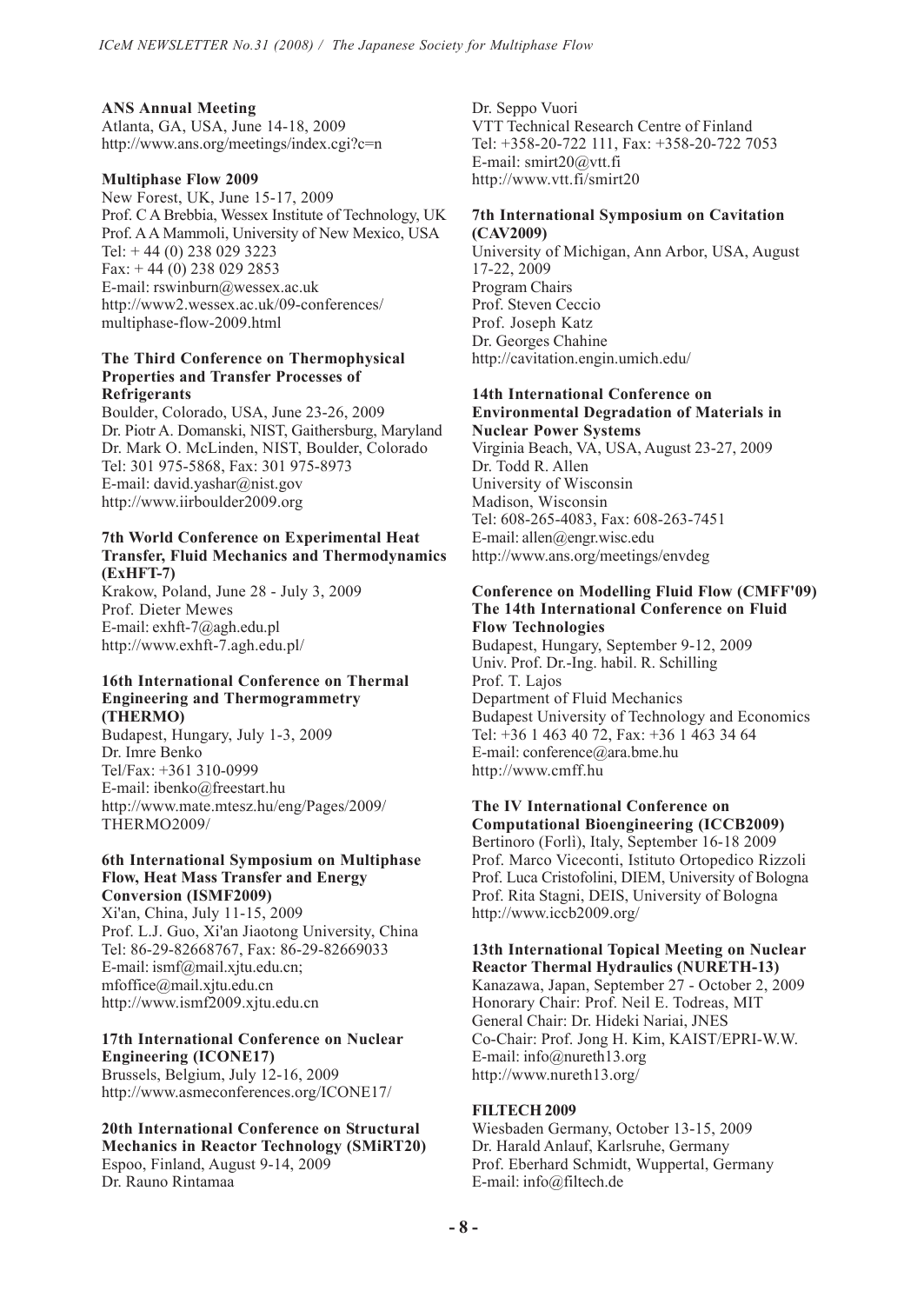#### **ANS Annual Meeting** Atlanta, GA, USA, June 14-18, 2009

http://www.ans.org/meetings/index.cgi?c=n

## **Multiphase Flow 2009**

New Forest, UK, June 15-17, 2009 Prof. C A Brebbia, Wessex Institute of Technology, UK Prof. A A Mammoli, University of New Mexico, USA Tel: + 44 (0) 238 029 3223 Fax:  $+44(0)$  238 029 2853 E-mail: rswinburn@wessex.ac.uk http://www2.wessex.ac.uk/09-conferences/ multiphase-flow-2009.html

#### **The Third Conference on Thermophysical Properties and Transfer Processes of Refrigerants**

Boulder, Colorado, USA, June 23-26, 2009 Dr. Piotr A. Domanski, NIST, Gaithersburg, Maryland Dr. Mark O. McLinden, NIST, Boulder, Colorado Tel: 301 975-5868, Fax: 301 975-8973 E-mail: david.yashar@nist.gov http://www.iirboulder2009.org

#### **7th World Conference on Experimental Heat Transfer, Fluid Mechanics and Thermodynamics (ExHFT-7)**

Krakow, Poland, June 28 - July 3, 2009 Prof. Dieter Mewes E-mail: exhft-7@agh.edu.pl http://www.exhft-7.agh.edu.pl/

#### **16th International Conference on Thermal Engineering and Thermogrammetry (THERMO)**

Budapest, Hungary, July 1-3, 2009 Dr. Imre Benko Tel/Fax: +361 310-0999 E-mail: ibenko@freestart.hu http://www.mate.mtesz.hu/eng/Pages/2009/ THERMO2009/

#### **6th International Symposium on Multiphase Flow, Heat Mass Transfer and Energy Conversion (ISMF2009)**

Xi'an, China, July 11-15, 2009 Prof. L.J. Guo, Xi'an Jiaotong University, China Tel: 86-29-82668767, Fax: 86-29-82669033 E-mail: ismf@mail.xjtu.edu.cn; mfoffice@mail.xjtu.edu.cn http://www.ismf2009.xjtu.edu.cn

#### **17th International Conference on Nuclear Engineering (ICONE17)**

Brussels, Belgium, July 12-16, 2009 http://www.asmeconferences.org/ICONE17/

# **20th International Conference on Structural Mechanics in Reactor Technology (SMiRT20)**

Espoo, Finland, August 9-14, 2009 Dr. Rauno Rintamaa

Dr. Seppo Vuori VTT Technical Research Centre of Finland Tel: +358-20-722 111, Fax: +358-20-722 7053 E-mail: smirt20@vtt.fi http://www.vtt.fi/smirt20

#### **7th International Symposium on Cavitation (CAV2009)**

University of Michigan, Ann Arbor, USA, August 17-22, 2009 Program Chairs Prof. Steven Ceccio Prof. Joseph Katz Dr. Georges Chahine http://cavitation.engin.umich.edu/

#### **14th International Conference on Environmental Degradation of Materials in**

**Nuclear Power Systems** Virginia Beach, VA, USA, August 23-27, 2009 Dr. Todd R. Allen University of Wisconsin Madison, Wisconsin Tel: 608-265-4083, Fax: 608-263-7451 E-mail: allen@engr.wisc.edu http://www.ans.org/meetings/envdeg

#### **Conference on Modelling Fluid Flow (CMFF'09) The 14th International Conference on Fluid Flow Technologies**

Budapest, Hungary, September 9-12, 2009 Univ. Prof. Dr.-Ing. habil. R. Schilling Prof. T. Lajos Department of Fluid Mechanics Budapest University of Technology and Economics Tel: +36 1 463 40 72, Fax: +36 1 463 34 64 E-mail: conference@ara.bme.hu http://www.cmff.hu

#### **The IV International Conference on Computational Bioengineering (ICCB2009)**

Bertinoro (Forlì), Italy, September 16-18 2009 Prof. Marco Viceconti, Istituto Ortopedico Rizzoli Prof. Luca Cristofolini, DIEM, University of Bologna Prof. Rita Stagni, DEIS, University of Bologna http://www.iccb2009.org/

# **13th International Topical Meeting on Nuclear Reactor Thermal Hydraulics (NURETH-13)**

Kanazawa, Japan, September 27 - October 2, 2009 Honorary Chair: Prof. Neil E. Todreas, MIT General Chair: Dr. Hideki Nariai, JNES Co-Chair: Prof. Jong H. Kim, KAIST/EPRI-W.W. E-mail: info@nureth13.org http://www.nureth13.org/

## **FILTECH 2009**

Wiesbaden Germany, October 13-15, 2009 Dr. Harald Anlauf, Karlsruhe, Germany Prof. Eberhard Schmidt, Wuppertal, Germany E-mail: info@filtech.de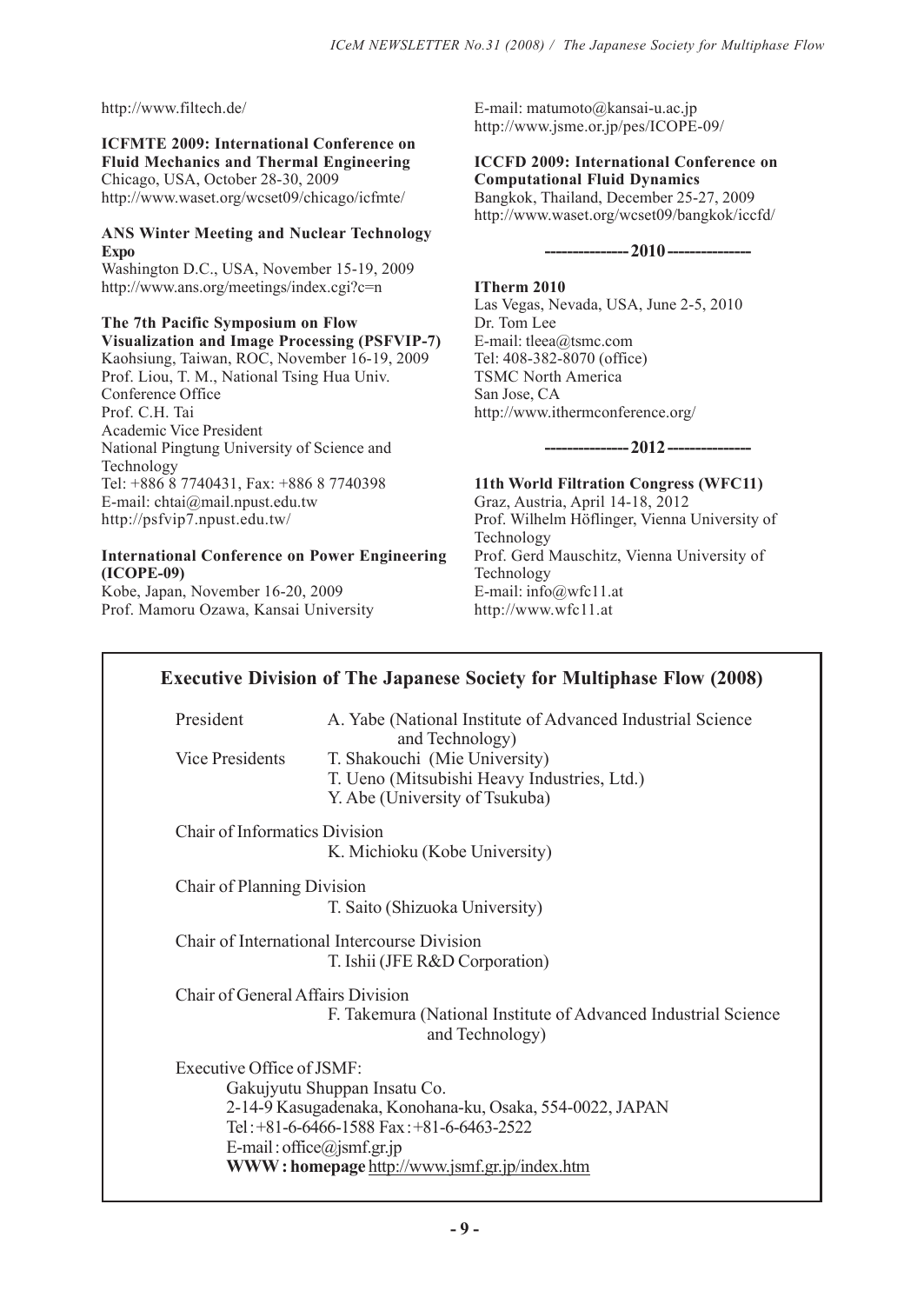http://www.filtech.de/

**ICFMTE 2009: International Conference on Fluid Mechanics and Thermal Engineering** Chicago, USA, October 28-30, 2009 http://www.waset.org/wcset09/chicago/icfmte/

# **ANS Winter Meeting and Nuclear Technology Expo**

Washington D.C., USA, November 15-19, 2009 http://www.ans.org/meetings/index.cgi?c=n

## **The 7th Pacific Symposium on Flow Visualization and Image Processing (PSFVIP-7)**

Kaohsiung, Taiwan, ROC, November 16-19, 2009 Prof. Liou, T. M., National Tsing Hua Univ. Conference Office Prof. C.H. Tai Academic Vice President National Pingtung University of Science and Technology Tel: +886 8 7740431, Fax: +886 8 7740398 E-mail: chtai@mail.npust.edu.tw http://psfvip7.npust.edu.tw/

# **International Conference on Power Engineering (ICOPE-09)**

Kobe, Japan, November 16-20, 2009 Prof. Mamoru Ozawa, Kansai University E-mail: matumoto@kansai-u.ac.jp http://www.jsme.or.jp/pes/ICOPE-09/

### **ICCFD 2009: International Conference on Computational Fluid Dynamics** Bangkok, Thailand, December 25-27, 2009

http://www.waset.org/wcset09/bangkok/iccfd/

**--------------- 2010 ---------------**

**ITherm 2010** Las Vegas, Nevada, USA, June 2-5, 2010 Dr. Tom Lee E-mail: tleea@tsmc.com Tel: 408-382-8070 (office) TSMC North America San Jose, CA http://www.ithermconference.org/

# **--------------- 2012 ---------------**

**11th World Filtration Congress (WFC11)** Graz, Austria, April 14-18, 2012 Prof. Wilhelm Höflinger, Vienna University of Technology Prof. Gerd Mauschitz, Vienna University of Technology E-mail: info@wfc11.at http://www.wfc11.at

| President                            | A. Yabe (National Institute of Advanced Industrial Science<br>and Technology)                                  |
|--------------------------------------|----------------------------------------------------------------------------------------------------------------|
| <b>Vice Presidents</b>               | T. Shakouchi (Mie University)<br>T. Ueno (Mitsubishi Heavy Industries, Ltd.)<br>Y. Abe (University of Tsukuba) |
| <b>Chair of Informatics Division</b> |                                                                                                                |
|                                      | K. Michioku (Kobe University)                                                                                  |
| Chair of Planning Division           |                                                                                                                |
|                                      | T. Saito (Shizuoka University)                                                                                 |
|                                      | Chair of International Intercourse Division                                                                    |
|                                      | T. Ishii (JFE R&D Corporation)                                                                                 |
| Chair of General Affairs Division    |                                                                                                                |
|                                      | F. Takemura (National Institute of Advanced Industrial Science<br>and Technology)                              |
| Executive Office of JSMF:            |                                                                                                                |
|                                      | Gakujyutu Shuppan Insatu Co.                                                                                   |
|                                      | 2-14-9 Kasugadenaka, Konohana-ku, Osaka, 554-0022, JAPAN                                                       |
|                                      | Tel: +81-6-6466-1588 Fax: +81-6-6463-2522                                                                      |
|                                      | E-mail: office@jsmf.gr.jp                                                                                      |
|                                      | WWW: homepage http://www.jsmf.gr.jp/index.htm                                                                  |